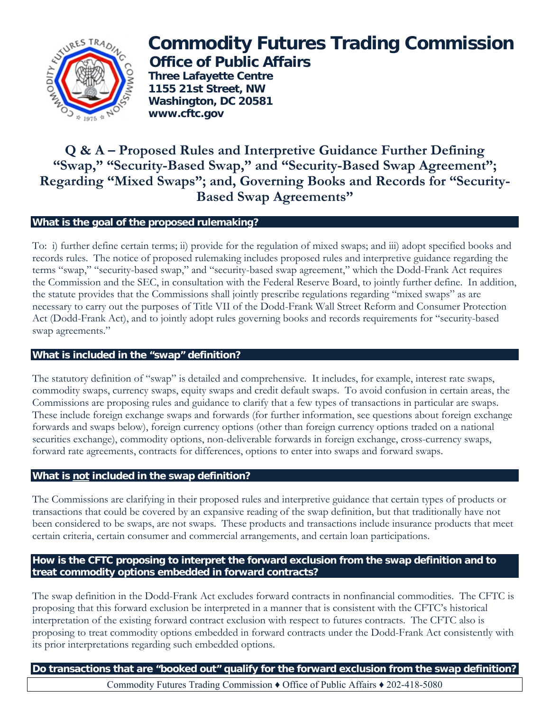

# **Commodity Futures Trading Commission Office of Public Affairs**

 **Three Lafayette Centre 1155 21st Street, NW Washington, DC 20581 www.cftc.gov**

# **Q & A – Proposed Rules and Interpretive Guidance Further Defining "Swap," "Security-Based Swap," and "Security-Based Swap Agreement"; Regarding "Mixed Swaps"; and, Governing Books and Records for "Security-Based Swap Agreements"**

# **What is the goal of the proposed rulemaking?**

To: i) further define certain terms; ii) provide for the regulation of mixed swaps; and iii) adopt specified books and records rules. The notice of proposed rulemaking includes proposed rules and interpretive guidance regarding the terms "swap," "security-based swap," and "security-based swap agreement," which the Dodd-Frank Act requires the Commission and the SEC, in consultation with the Federal Reserve Board, to jointly further define. In addition, the statute provides that the Commissions shall jointly prescribe regulations regarding "mixed swaps" as are necessary to carry out the purposes of Title VII of the Dodd-Frank Wall Street Reform and Consumer Protection Act (Dodd-Frank Act), and to jointly adopt rules governing books and records requirements for "security-based swap agreements."

### **What is included in the "swap" definition?**

The statutory definition of "swap" is detailed and comprehensive. It includes, for example, interest rate swaps, commodity swaps, currency swaps, equity swaps and credit default swaps. To avoid confusion in certain areas, the Commissions are proposing rules and guidance to clarify that a few types of transactions in particular are swaps. These include foreign exchange swaps and forwards (for further information, see questions about foreign exchange forwards and swaps below), foreign currency options (other than foreign currency options traded on a national securities exchange), commodity options, non-deliverable forwards in foreign exchange, cross-currency swaps, forward rate agreements, contracts for differences, options to enter into swaps and forward swaps.

### **What is not included in the swap definition?**

The Commissions are clarifying in their proposed rules and interpretive guidance that certain types of products or transactions that could be covered by an expansive reading of the swap definition, but that traditionally have not been considered to be swaps, are not swaps. These products and transactions include insurance products that meet certain criteria, certain consumer and commercial arrangements, and certain loan participations.

### **How is the CFTC proposing to interpret the forward exclusion from the swap definition and to treat commodity options embedded in forward contracts?**

The swap definition in the Dodd-Frank Act excludes forward contracts in nonfinancial commodities. The CFTC is proposing that this forward exclusion be interpreted in a manner that is consistent with the CFTC's historical interpretation of the existing forward contract exclusion with respect to futures contracts. The CFTC also is proposing to treat commodity options embedded in forward contracts under the Dodd-Frank Act consistently with its prior interpretations regarding such embedded options.

**Do transactions that are "booked out" qualify for the forward exclusion from the swap definition?**  Commodity Futures Trading Commission ♦ Office of Public Affairs ♦ 202-418-5080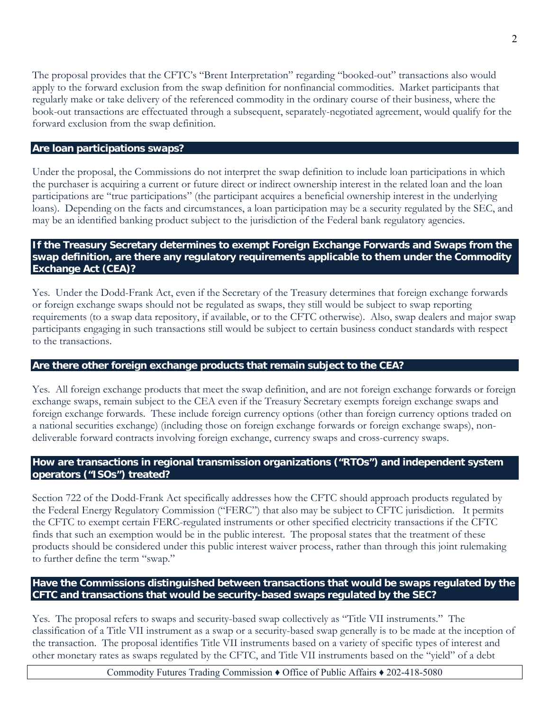The proposal provides that the CFTC's "Brent Interpretation" regarding "booked-out" transactions also would apply to the forward exclusion from the swap definition for nonfinancial commodities. Market participants that regularly make or take delivery of the referenced commodity in the ordinary course of their business, where the book-out transactions are effectuated through a subsequent, separately-negotiated agreement, would qualify for the forward exclusion from the swap definition.

#### **Are loan participations swaps?**

Under the proposal, the Commissions do not interpret the swap definition to include loan participations in which the purchaser is acquiring a current or future direct or indirect ownership interest in the related loan and the loan participations are "true participations" (the participant acquires a beneficial ownership interest in the underlying loans). Depending on the facts and circumstances, a loan participation may be a security regulated by the SEC, and may be an identified banking product subject to the jurisdiction of the Federal bank regulatory agencies.

### **If the Treasury Secretary determines to exempt Foreign Exchange Forwards and Swaps from the swap definition, are there any regulatory requirements applicable to them under the Commodity Exchange Act (CEA)?**

Yes. Under the Dodd-Frank Act, even if the Secretary of the Treasury determines that foreign exchange forwards or foreign exchange swaps should not be regulated as swaps, they still would be subject to swap reporting requirements (to a swap data repository, if available, or to the CFTC otherwise). Also, swap dealers and major swap participants engaging in such transactions still would be subject to certain business conduct standards with respect to the transactions.

### **Are there other foreign exchange products that remain subject to the CEA?**

Yes. All foreign exchange products that meet the swap definition, and are not foreign exchange forwards or foreign exchange swaps, remain subject to the CEA even if the Treasury Secretary exempts foreign exchange swaps and foreign exchange forwards. These include foreign currency options (other than foreign currency options traded on a national securities exchange) (including those on foreign exchange forwards or foreign exchange swaps), nondeliverable forward contracts involving foreign exchange, currency swaps and cross-currency swaps.

# **How are transactions in regional transmission organizations ("RTOs") and independent system operators ("ISOs") treated?**

Section 722 of the Dodd-Frank Act specifically addresses how the CFTC should approach products regulated by the Federal Energy Regulatory Commission ("FERC") that also may be subject to CFTC jurisdiction. It permits the CFTC to exempt certain FERC-regulated instruments or other specified electricity transactions if the CFTC finds that such an exemption would be in the public interest. The proposal states that the treatment of these products should be considered under this public interest waiver process, rather than through this joint rulemaking to further define the term "swap."

# **Have the Commissions distinguished between transactions that would be swaps regulated by the CFTC and transactions that would be security-based swaps regulated by the SEC?**

Yes. The proposal refers to swaps and security-based swap collectively as "Title VII instruments." The classification of a Title VII instrument as a swap or a security-based swap generally is to be made at the inception of the transaction. The proposal identifies Title VII instruments based on a variety of specific types of interest and other monetary rates as swaps regulated by the CFTC, and Title VII instruments based on the "yield" of a debt

Commodity Futures Trading Commission ♦ Office of Public Affairs ♦ 202-418-5080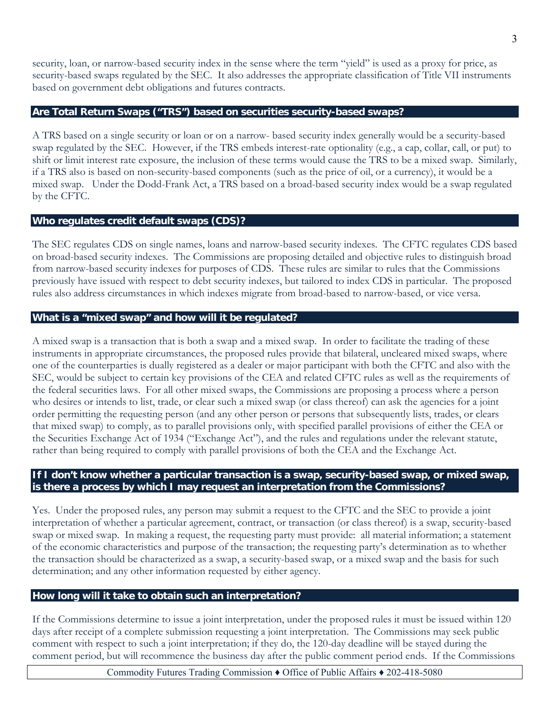security, loan, or narrow-based security index in the sense where the term "yield" is used as a proxy for price, as security-based swaps regulated by the SEC. It also addresses the appropriate classification of Title VII instruments based on government debt obligations and futures contracts.

### **Are Total Return Swaps ("TRS") based on securities security-based swaps?**

A TRS based on a single security or loan or on a narrow- based security index generally would be a security-based swap regulated by the SEC. However, if the TRS embeds interest-rate optionality (e.g., a cap, collar, call, or put) to shift or limit interest rate exposure, the inclusion of these terms would cause the TRS to be a mixed swap. Similarly, if a TRS also is based on non-security-based components (such as the price of oil, or a currency), it would be a mixed swap. Under the Dodd-Frank Act, a TRS based on a broad-based security index would be a swap regulated by the CFTC.

#### **Who regulates credit default swaps (CDS)?**

The SEC regulates CDS on single names, loans and narrow-based security indexes. The CFTC regulates CDS based on broad-based security indexes. The Commissions are proposing detailed and objective rules to distinguish broad from narrow-based security indexes for purposes of CDS. These rules are similar to rules that the Commissions previously have issued with respect to debt security indexes, but tailored to index CDS in particular. The proposed rules also address circumstances in which indexes migrate from broad-based to narrow-based, or vice versa.

#### **What is a "mixed swap" and how will it be regulated?**

A mixed swap is a transaction that is both a swap and a mixed swap. In order to facilitate the trading of these instruments in appropriate circumstances, the proposed rules provide that bilateral, uncleared mixed swaps, where one of the counterparties is dually registered as a dealer or major participant with both the CFTC and also with the SEC, would be subject to certain key provisions of the CEA and related CFTC rules as well as the requirements of the federal securities laws. For all other mixed swaps, the Commissions are proposing a process where a person who desires or intends to list, trade, or clear such a mixed swap (or class thereof) can ask the agencies for a joint order permitting the requesting person (and any other person or persons that subsequently lists, trades, or clears that mixed swap) to comply, as to parallel provisions only, with specified parallel provisions of either the CEA or the Securities Exchange Act of 1934 ("Exchange Act"), and the rules and regulations under the relevant statute, rather than being required to comply with parallel provisions of both the CEA and the Exchange Act.

#### **If I don't know whether a particular transaction is a swap, security-based swap, or mixed swap, is there a process by which I may request an interpretation from the Commissions?**

Yes. Under the proposed rules, any person may submit a request to the CFTC and the SEC to provide a joint interpretation of whether a particular agreement, contract, or transaction (or class thereof) is a swap, security-based swap or mixed swap. In making a request, the requesting party must provide: all material information; a statement of the economic characteristics and purpose of the transaction; the requesting party's determination as to whether the transaction should be characterized as a swap, a security-based swap, or a mixed swap and the basis for such determination; and any other information requested by either agency.

#### **How long will it take to obtain such an interpretation?**

If the Commissions determine to issue a joint interpretation, under the proposed rules it must be issued within 120 days after receipt of a complete submission requesting a joint interpretation. The Commissions may seek public comment with respect to such a joint interpretation; if they do, the 120-day deadline will be stayed during the comment period, but will recommence the business day after the public comment period ends. If the Commissions

Commodity Futures Trading Commission ♦ Office of Public Affairs ♦ 202-418-5080